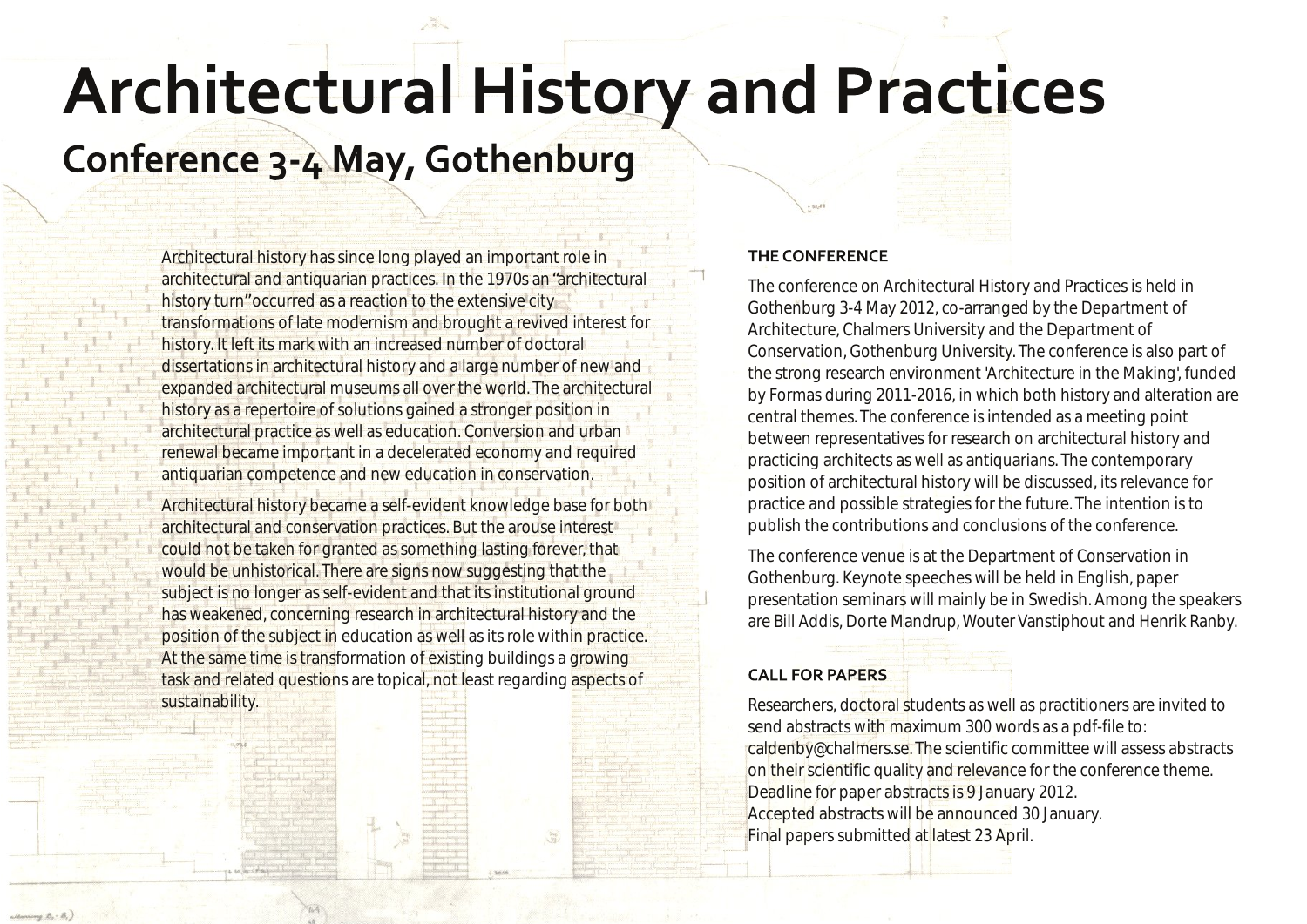# **Architectural History and Practices**

# Conference 3-4 May, Gothenburg

Architectural history has since long played an important role in architectural and antiquarian practices. In the 1970s an"architectural history turn" occurred as a reaction to the extensive city transformations of late modernism and brought a revived interest for history. It left its mark with an increased number of doctoral dissertations in architectural history and a large number of new and expanded architectural museums all over the world. The architectural history as a repertoire of solutions gained a stronger position in architectural practice as well as education. Conversion and urban renewal became important in a decelerated economy and required antiquarian competence and new education in conservation.

Architectural history became a self-evident knowledge base for both architectural and conservation practices. But the arouse interest could not be taken for granted as something lasting forever, that would be unhistorical. There are signs now suggesting that the subject is no longer as self-evident and that its institutional ground has weakened, concerning research in architectural history and the position of the subject in education as well as its role within practice. At the same time is transformation of existing buildings a growing task and related questions are topical, not least regarding aspects of

sustainability.

### THE CONFERENCE

The conference on Architectural History and Practices is held in Gothenburg 3-4 May 2012, co-arranged by the Department of Architecture, Chalmers University and the Department of Conservation, Gothenburg University. The conference is also part of the strong research environment 'Architecture in the Making', funded by Formas during 2011-2016, in which both history and alteration are central themes. The conference is intended as a meeting point between representatives for research on architectural history and practicing architects as well as antiquarians. The contemporary position of architectural history will be discussed, its relevance for practice and possible strategies for the future. The intention is to publish the contributions and conclusions of the conference.

The conference venue is at the Department of Conservation in Gothenburg. Keynote speeches will be held in English, paper presentation seminars will mainly be in Swedish. Among the speakers are Bill Addis, Dorte Mandrup, Wouter Vanstiphout and Henrik Ranby.

### **CALL FOR PAPERS**

Researchers, doctoral students as well as practitioners are invited to send abstracts with maximum 300 words as a pdf-file to: caldenby@chalmers.se. The scientific committee will assess abstracts on their scientific quality and relevance for the conference theme. Deadline for paper abstracts is 9 January 2012. Accepted abstracts will be announced 30 January. Final papers submitted at latest 23 April.